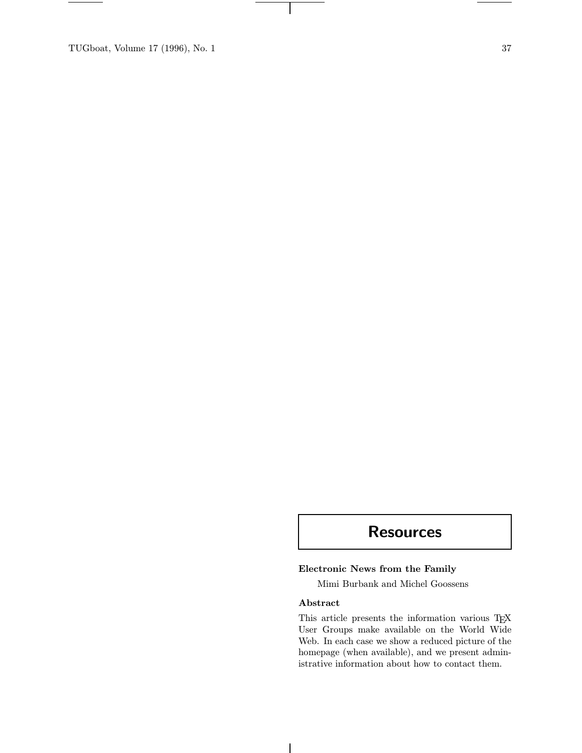TUGboat, Volume 17 (1996), No. 1 37

# **Resources**

# Electronic News from the Family

Mimi Burbank and Michel Goossens

## Abstract

 $\mathbf{I}$ 

This article presents the information various TEX User Groups make available on the World Wide Web. In each case we show a reduced picture of the homepage (when available), and we present administrative information about how to contact them.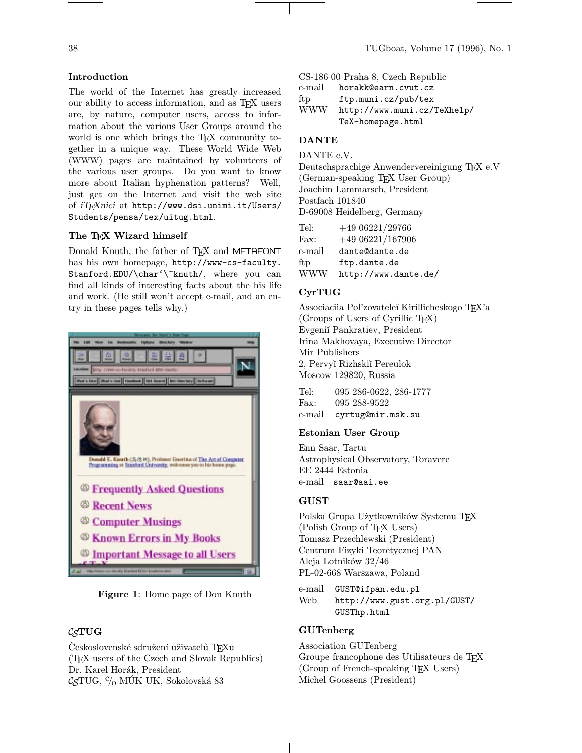## Introduction

The world of the Internet has greatly increased our ability to access information, and as TEX users are, by nature, computer users, access to information about the various User Groups around the world is one which brings the T<sub>EX</sub> community together in a unique way. These World Wide Web (WWW) pages are maintained by volunteers of the various user groups. Do you want to know more about Italian hyphenation patterns? Well, just get on the Internet and visit the web site of *iT<sub>F</sub>Xnici* at http://www.dsi.unimi.it/Users/ Students/pensa/tex/uitug.html.

## The TEX Wizard himself

Donald Knuth, the father of TFX and METAFONT has his own homepage, http://www-cs-faculty. Stanford.EDU/\char'\~knuth/, where you can find all kinds of interesting facts about the his life and work. (He still won't accept e-mail, and an entry in these pages tells why.)



Figure 1: Home page of Don Knuth

## C<sub>S</sub>TUG

Československé sdružení uživatelů TFXu (TEX users of the Czech and Slovak Republics) Dr. Karel Horák, President  $\mathcal{C}_{\mathcal{S}}\text{TUG},\, {}^c\!/_{\! 0}$  MÚK UK, Sokolovská 83

CS-186 00 Praha 8, Czech Republic

e-mail horakk@earn.cvut.cz

ftp ftp.muni.cz/pub/tex WWW http://www.muni.cz/TeXhelp/

TeX-homepage.html

# DANTE

DANTE e.V.

Deutschsprachige Anwendervereinigung TEX e.V (German-speaking TEX User Group) Joachim Lammarsch, President Postfach 101840 D-69008 Heidelberg, Germany

| Tel:       | $+4906221/29766$     |
|------------|----------------------|
| Fax:       | $+4906221/167906$    |
| e-mail     | dante@dante.de       |
| ftp        | ftp.dante.de         |
| <b>WWW</b> | http://www.dante.de/ |

# CyrTUG

Associaciia Pol'zovatele˘ı Kirillicheskogo TEX'a (Groups of Users of Cyrillic TEX) Evgeni˘ı Pankratiev, President Irina Makhovaya, Executive Director Mir Publishers 2, Pervy˘ı Rizhski˘ı Pereulok Moscow 129820, Russia

Tel: 095 286-0622, 286-1777 Fax: 095 288-9522 e-mail cyrtug@mir.msk.su

#### Estonian User Group

Enn Saar, Tartu Astrophysical Observatory, Toravere EE 2444 Estonia e-mail saar@aai.ee

#### GUST

Polska Grupa Użytkowników Systemu TEX (Polish Group of TEX Users) Tomasz Przechlewski (President) Centrum Fizyki Teoretycznej PAN Aleja Lotników 32/46 PL-02-668 Warszawa, Poland

e-mail GUST@ifpan.edu.pl Web http://www.gust.org.pl/GUST/ GUSThp.html

#### GUTenberg

Association GUTenberg Groupe francophone des Utilisateurs de TEX (Group of French-speaking TEX Users) Michel Goossens (President)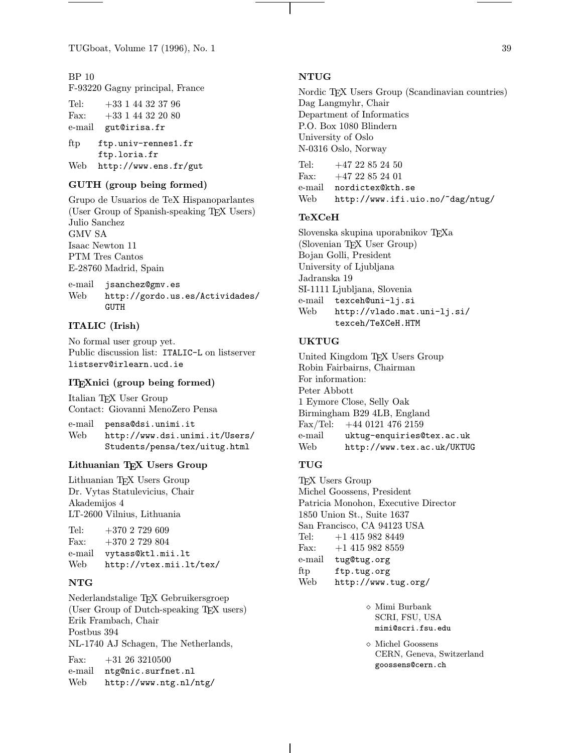TUGboat, Volume 17 (1996), No. 1 39

BP 10 F-93220 Gagny principal, France

Tel: +33 1 44 32 37 96 Fax: +33 1 44 32 20 80 e-mail gut@irisa.fr

ftp ftp.univ-rennes1.fr ftp.loria.fr Web http://www.ens.fr/gut

## GUTH (group being formed)

Grupo de Usuarios de TeX Hispanoparlantes (User Group of Spanish-speaking T<sub>E</sub>X Users) Julio Sanchez GMV SA Isaac Newton 11 PTM Tres Cantos E-28760 Madrid, Spain

e-mail jsanchez@gmv.es Web http://gordo.us.es/Actividades/ **GUTH** 

#### ITALIC (Irish)

No formal user group yet. Public discussion list: ITALIC-L on listserver listserv@irlearn.ucd.ie

#### ITEXnici (group being formed)

Italian TEX User Group Contact: Giovanni MenoZero Pensa

e-mail pensa@dsi.unimi.it Web http://www.dsi.unimi.it/Users/ Students/pensa/tex/uitug.html

## Lithuanian TFX Users Group

Lithuanian TEX Users Group Dr. Vytas Statulevicius, Chair Akademijos 4 LT-2600 Vilnius, Lithuania

| Tel: | $+3702729609$            |
|------|--------------------------|
| Fax: | $+3702729804$            |
|      | e-mail vytass@ktl.mii.lt |
| Web  | http://vtex.mii.lt/tex/  |

#### NTG

Nederlandstalige TEX Gebruikersgroep (User Group of Dutch-speaking TEX users) Erik Frambach, Chair Postbus 394 NL-1740 AJ Schagen, The Netherlands,

Fax:  $+31\ 26\ 3210500$ e-mail ntg@nic.surfnet.nl Web http://www.ntg.nl/ntg/

#### NTUG

Nordic T<sub>E</sub>X Users Group (Scandinavian countries) Dag Langmyhr, Chair Department of Informatics P.O. Box 1080 Blindern University of Oslo N-0316 Oslo, Norway

Tel:  $+4722852450$ Fax:  $+4722852401$ e-mail nordictex@kth.se Web http://www.ifi.uio.no/~dag/ntug/

#### TeXCeH

Slovenska skupina uporabnikov TEXa (Slovenian TEX User Group) Bojan Golli, President University of Ljubljana Jadranska 19 SI-1111 Ljubljana, Slovenia e-mail texceh@uni-lj.si Web http://vlado.mat.uni-lj.si/ texceh/TeXCeH.HTM

#### UKTUG

United Kingdom TEX Users Group Robin Fairbairns, Chairman For information: Peter Abbott 1 Eymore Close, Selly Oak Birmingham B29 4LB, England Fax/Tel: +44 0121 476 2159 e-mail uktug-enquiries@tex.ac.uk Web http://www.tex.ac.uk/UKTUG

#### TUG

T<sub>E</sub>X Users Group Michel Goossens, President Patricia Monohon, Executive Director 1850 Union St., Suite 1637 San Francisco, CA 94123 USA Tel:  $+1$  415 982 8449 Fax:  $+1$  415 982 8559 e-mail tug@tug.org ftp ftp.tug.org Web http://www.tug.org/

> $\diamond$ Mimi Burbank SCRI, FSU, USA mimi@scri.fsu.edu

 Michel Goossens CERN, Geneva, Switzerland goossens@cern.ch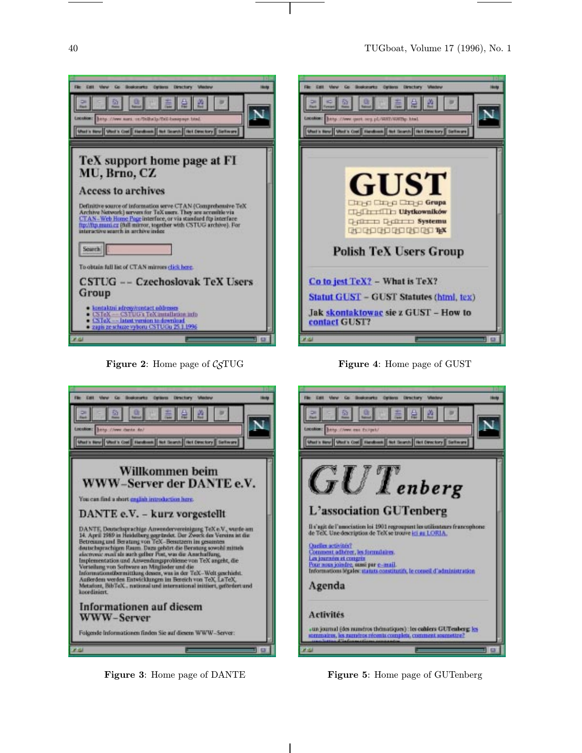

**Figure 2:** Home page of  $\mathcal{C}_{S}T\cup G$ 





Figure 3: Home page of DANTE

Figure 5: Home page of GUTenberg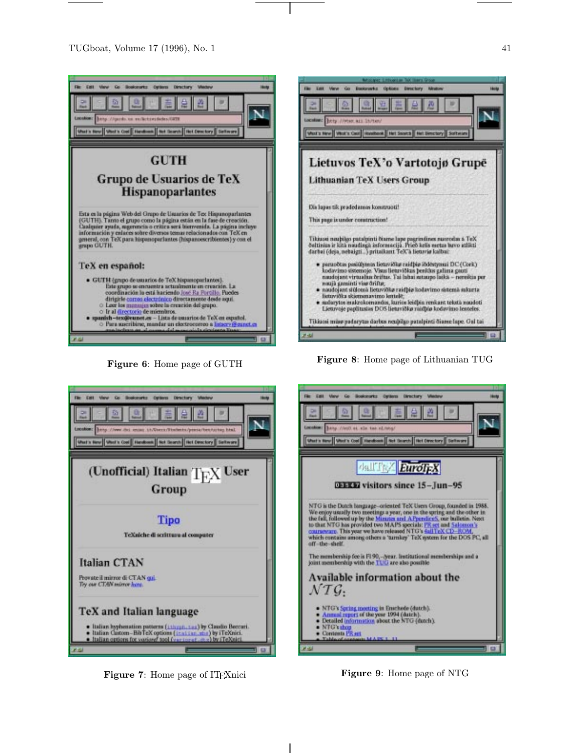

Figure 6: Home page of GUTH



Figure 7: Home page of IT<sub>F</sub>Xnici

Figure 9: Home page of NTG